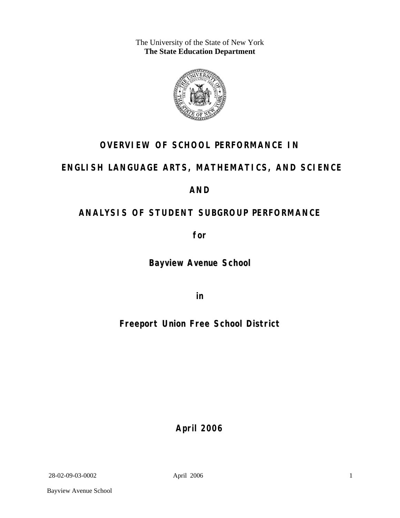The University of the State of New York **The State Education Department** 



# **OVERVIEW OF SCHOOL PERFORMANCE IN**

# **ENGLISH LANGUAGE ARTS, MATHEMATICS, AND SCIENCE**

# **AND**

# **ANALYSIS OF STUDENT SUBGROUP PERFORMANCE**

**for** 

**Bayview Avenue School**

**in** 

**Freeport Union Free School District**

**April 2006**

28-02-09-03-0002 April 2006

1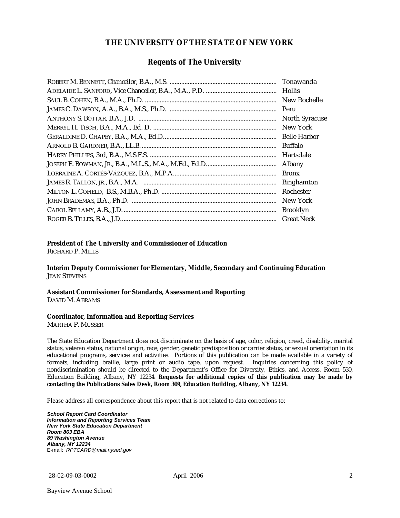### **THE UNIVERSITY OF THE STATE OF NEW YORK**

### **Regents of The University**

| Peru                  |
|-----------------------|
| <b>North Syracuse</b> |
| New York              |
|                       |
| Buffalo               |
| Hartsdale             |
| Albany                |
| <b>Bronx</b>          |
| <b>Binghamton</b>     |
| Rochester             |
| New York              |
| <b>Brooklyn</b>       |
| <b>Great Neck</b>     |

#### **President of The University and Commissioner of Education**

RICHARD P. MILLS

**Interim Deputy Commissioner for Elementary, Middle, Secondary and Continuing Education**  JEAN STEVENS

#### **Assistant Commissioner for Standards, Assessment and Reporting**  DAVID M. ABRAMS

#### **Coordinator, Information and Reporting Services**

MARTHA P. MUSSER

The State Education Department does not discriminate on the basis of age, color, religion, creed, disability, marital status, veteran status, national origin, race, gender, genetic predisposition or carrier status, or sexual orientation in its educational programs, services and activities. Portions of this publication can be made available in a variety of formats, including braille, large print or audio tape, upon request. Inquiries concerning this policy of nondiscrimination should be directed to the Department's Office for Diversity, Ethics, and Access, Room 530, Education Building, Albany, NY 12234. **Requests for additional copies of this publication may be made by contacting the Publications Sales Desk, Room 309, Education Building, Albany, NY 12234.** 

Please address all correspondence about this report that is not related to data corrections to:

*School Report Card Coordinator Information and Reporting Services Team New York State Education Department Room 863 EBA 89 Washington Avenue Albany, NY 12234*  E-mail: *RPTCARD@mail.nysed.gov*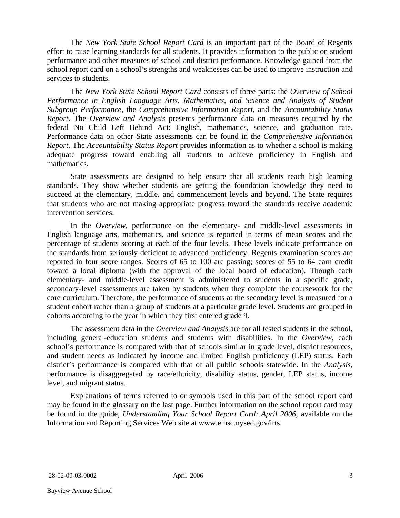The *New York State School Report Card* is an important part of the Board of Regents effort to raise learning standards for all students. It provides information to the public on student performance and other measures of school and district performance. Knowledge gained from the school report card on a school's strengths and weaknesses can be used to improve instruction and services to students.

The *New York State School Report Card* consists of three parts: the *Overview of School Performance in English Language Arts, Mathematics, and Science and Analysis of Student Subgroup Performance,* the *Comprehensive Information Report,* and the *Accountability Status Report*. The *Overview and Analysis* presents performance data on measures required by the federal No Child Left Behind Act: English, mathematics, science, and graduation rate. Performance data on other State assessments can be found in the *Comprehensive Information Report*. The *Accountability Status Report* provides information as to whether a school is making adequate progress toward enabling all students to achieve proficiency in English and mathematics.

State assessments are designed to help ensure that all students reach high learning standards. They show whether students are getting the foundation knowledge they need to succeed at the elementary, middle, and commencement levels and beyond. The State requires that students who are not making appropriate progress toward the standards receive academic intervention services.

In the *Overview*, performance on the elementary- and middle-level assessments in English language arts, mathematics, and science is reported in terms of mean scores and the percentage of students scoring at each of the four levels. These levels indicate performance on the standards from seriously deficient to advanced proficiency. Regents examination scores are reported in four score ranges. Scores of 65 to 100 are passing; scores of 55 to 64 earn credit toward a local diploma (with the approval of the local board of education). Though each elementary- and middle-level assessment is administered to students in a specific grade, secondary-level assessments are taken by students when they complete the coursework for the core curriculum. Therefore, the performance of students at the secondary level is measured for a student cohort rather than a group of students at a particular grade level. Students are grouped in cohorts according to the year in which they first entered grade 9.

The assessment data in the *Overview and Analysis* are for all tested students in the school, including general-education students and students with disabilities. In the *Overview*, each school's performance is compared with that of schools similar in grade level, district resources, and student needs as indicated by income and limited English proficiency (LEP) status. Each district's performance is compared with that of all public schools statewide. In the *Analysis*, performance is disaggregated by race/ethnicity, disability status, gender, LEP status, income level, and migrant status.

Explanations of terms referred to or symbols used in this part of the school report card may be found in the glossary on the last page. Further information on the school report card may be found in the guide, *Understanding Your School Report Card: April 2006*, available on the Information and Reporting Services Web site at www.emsc.nysed.gov/irts.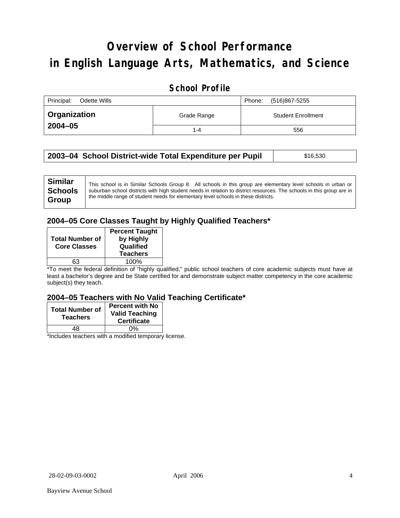# **Overview of School Performance in English Language Arts, Mathematics, and Science**

## **School Profile**

| Principal:<br>Odette Wills |             | (516)867-5255<br>Phone:   |
|----------------------------|-------------|---------------------------|
| Organization               | Grade Range | <b>Student Enrollment</b> |
| $2004 - 05$                | $1 - 4$     | 556                       |

| 2003–04 School District-wide Total Expenditure per Pupil | \$16,530 |
|----------------------------------------------------------|----------|
|                                                          |          |

| <b>Similar</b> | This school is in Similar Schools Group 8. All schools in this group are elementary level schools in urban or         |
|----------------|-----------------------------------------------------------------------------------------------------------------------|
| <b>Schools</b> | suburban school districts with high student needs in relation to district resources. The schools in this group are in |
| <b>Group</b>   | the middle range of student needs for elementary level schools in these districts.                                    |
|                |                                                                                                                       |

## **2004–05 Core Classes Taught by Highly Qualified Teachers\***

| <b>Total Number of</b><br><b>Core Classes</b> | <b>Percent Taught</b><br>by Highly<br>Qualified<br><b>Teachers</b> |
|-----------------------------------------------|--------------------------------------------------------------------|
| 63                                            | 100%                                                               |

\*To meet the federal definition of "highly qualified," public school teachers of core academic subjects must have at least a bachelor's degree and be State certified for and demonstrate subject matter competency in the core academic subject(s) they teach.

#### **2004–05 Teachers with No Valid Teaching Certificate\***

| <b>Total Number of</b><br><b>Teachers</b> | <b>Percent with No</b><br><b>Valid Teaching</b><br><b>Certificate</b> |
|-------------------------------------------|-----------------------------------------------------------------------|
| 18                                        | 0%                                                                    |
| $\mathbf{A}$<br>$\cdots$                  |                                                                       |

\*Includes teachers with a modified temporary license.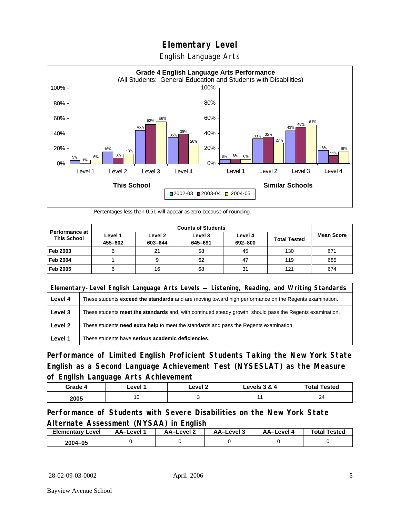English Language Arts



Percentages less than 0.51 will appear as zero because of rounding.

|                                             |                    | <b>Counts of Students</b> |                    |                    |                     |                   |
|---------------------------------------------|--------------------|---------------------------|--------------------|--------------------|---------------------|-------------------|
| <b>Performance at</b><br><b>This School</b> | Level 1<br>455-602 | Level 2<br>603-644        | Level 3<br>645-691 | Level 4<br>692-800 | <b>Total Tested</b> | <b>Mean Score</b> |
| Feb 2003                                    | 6                  | 21                        | 58                 | 45                 | 130                 | 671               |
| <b>Feb 2004</b>                             |                    |                           | 62                 | 47                 | 119                 | 685               |
| Feb 2005                                    | 6                  | 16                        | 68                 | 31                 | 121                 | 674               |

|         | Elementary-Level English Language Arts Levels — Listening, Reading, and Writing Standards                     |  |  |
|---------|---------------------------------------------------------------------------------------------------------------|--|--|
| Level 4 | These students <b>exceed the standards</b> and are moving toward high performance on the Regents examination. |  |  |
| Level 3 | These students meet the standards and, with continued steady growth, should pass the Regents examination.     |  |  |
| Level 2 | These students need extra help to meet the standards and pass the Regents examination.                        |  |  |
| Level 1 | These students have serious academic deficiencies.                                                            |  |  |

**Performance of Limited English Proficient Students Taking the New York State English as a Second Language Achievement Test (NYSESLAT) as the Measure of English Language Arts Achievement**

| Grade 4 | _evel · | Level 2 | Levels 3 & 4 | <b>Total Tested</b> |
|---------|---------|---------|--------------|---------------------|
| 2005    | 10      |         |              | 24                  |

### **Performance of Students with Severe Disabilities on the New York State Alternate Assessment (NYSAA) in English**

| <b>Elementary Level</b> | AA-Level | – AA–Level ∠ | AA-Level 3 | AA–Level 4 | <b>Total Tested</b> |
|-------------------------|----------|--------------|------------|------------|---------------------|
| 2004-05                 |          |              |            |            |                     |

28-02-09-03-0002 April 2006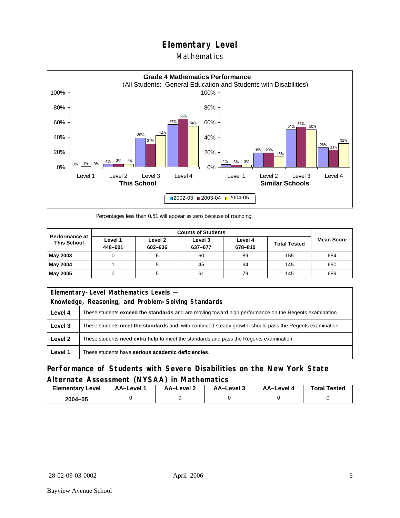## Mathematics



Percentages less than 0.51 will appear as zero because of rounding.

|                                             |                    |                    | <b>Counts of Students</b> |                    |                     |                   |
|---------------------------------------------|--------------------|--------------------|---------------------------|--------------------|---------------------|-------------------|
| <b>Performance at</b><br><b>This School</b> | Level 1<br>448-601 | Level 2<br>602-636 | Level 3<br>637-677        | Level 4<br>678-810 | <b>Total Tested</b> | <b>Mean Score</b> |
| May 2003                                    |                    |                    | 60                        | 89                 | 155                 | 684               |
| May 2004                                    |                    |                    | 45                        | 94                 | 145                 | 690               |
| May 2005                                    |                    |                    | 61                        | 79                 | 145                 | 689               |

|         | Elementary-Level Mathematics Levels -                                                                         |  |  |
|---------|---------------------------------------------------------------------------------------------------------------|--|--|
|         | Knowledge, Reasoning, and Problem-Solving Standards                                                           |  |  |
| Level 4 | These students <b>exceed the standards</b> and are moving toward high performance on the Regents examination. |  |  |
| Level 3 | These students meet the standards and, with continued steady growth, should pass the Regents examination.     |  |  |
| Level 2 | These students <b>need extra help</b> to meet the standards and pass the Regents examination.                 |  |  |
| Level 1 | These students have serious academic deficiencies.                                                            |  |  |

## **Performance of Students with Severe Disabilities on the New York State Alternate Assessment (NYSAA) in Mathematics**

| Elementary<br>Level | AA–Level | – AA–Level ∠ | د AA–Level | AA-Level · | <b>Total Tested</b> |
|---------------------|----------|--------------|------------|------------|---------------------|
| 2004-05             |          |              |            |            |                     |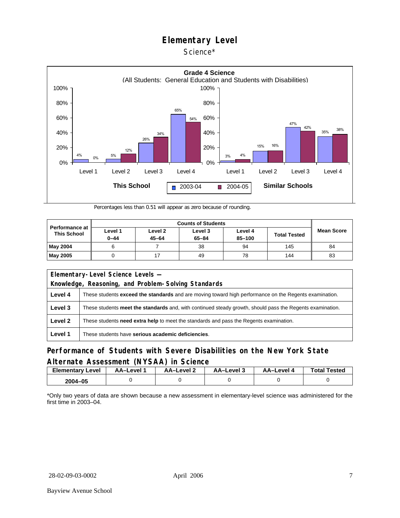#### Science\*



Percentages less than 0.51 will appear as zero because of rounding.

| <b>Performance at</b><br><b>This School</b> |                     |                      |                      |                       |                     |                   |
|---------------------------------------------|---------------------|----------------------|----------------------|-----------------------|---------------------|-------------------|
|                                             | Level 1<br>$0 - 44$ | Level 2<br>$45 - 64$ | Level 3<br>$65 - 84$ | Level 4<br>$85 - 100$ | <b>Total Tested</b> | <b>Mean Score</b> |
| <b>May 2004</b>                             | 6                   |                      | 38                   | 94                    | 145                 | 84                |
| May 2005                                    |                     |                      | 49                   | 78                    | 144                 | 83                |

| Elementary-Level Science Levels -<br>Knowledge, Reasoning, and Problem-Solving Standards |                                                                                                               |  |  |  |  |  |  |
|------------------------------------------------------------------------------------------|---------------------------------------------------------------------------------------------------------------|--|--|--|--|--|--|
| Level 4                                                                                  | These students <b>exceed the standards</b> and are moving toward high performance on the Regents examination. |  |  |  |  |  |  |
| Level 3                                                                                  | These students meet the standards and, with continued steady growth, should pass the Regents examination.     |  |  |  |  |  |  |
| Level 2                                                                                  | These students <b>need extra help</b> to meet the standards and pass the Regents examination.                 |  |  |  |  |  |  |
| Level 1                                                                                  | These students have serious academic deficiencies.                                                            |  |  |  |  |  |  |

### **Performance of Students with Severe Disabilities on the New York State Alternate Assessment (NYSAA) in Science**

| <b>Elementary Level</b> | AA-Level 1 |  | AA–Level 2<br>ڌ AA–Level |  | <b>Total Tested</b> |  |
|-------------------------|------------|--|--------------------------|--|---------------------|--|
| 2004-05                 |            |  |                          |  |                     |  |

\*Only two years of data are shown because a new assessment in elementary-level science was administered for the first time in 2003–04.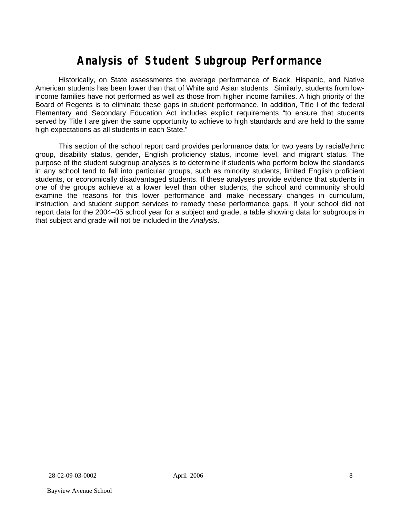# **Analysis of Student Subgroup Performance**

Historically, on State assessments the average performance of Black, Hispanic, and Native American students has been lower than that of White and Asian students. Similarly, students from lowincome families have not performed as well as those from higher income families. A high priority of the Board of Regents is to eliminate these gaps in student performance. In addition, Title I of the federal Elementary and Secondary Education Act includes explicit requirements "to ensure that students served by Title I are given the same opportunity to achieve to high standards and are held to the same high expectations as all students in each State."

This section of the school report card provides performance data for two years by racial/ethnic group, disability status, gender, English proficiency status, income level, and migrant status. The purpose of the student subgroup analyses is to determine if students who perform below the standards in any school tend to fall into particular groups, such as minority students, limited English proficient students, or economically disadvantaged students. If these analyses provide evidence that students in one of the groups achieve at a lower level than other students, the school and community should examine the reasons for this lower performance and make necessary changes in curriculum, instruction, and student support services to remedy these performance gaps. If your school did not report data for the 2004–05 school year for a subject and grade, a table showing data for subgroups in that subject and grade will not be included in the *Analysis*.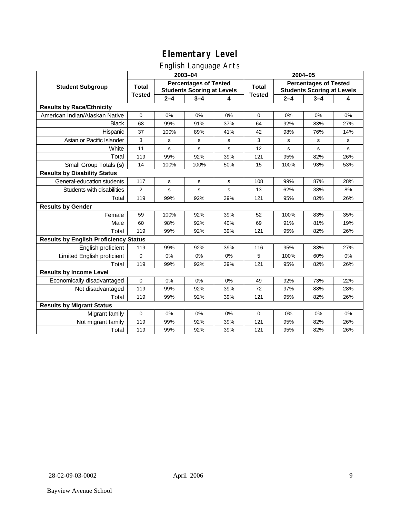## English Language Arts

|                                              |                |                                                                   | ັ<br>2003-04 |     | 2004-05       |                                                                   |         |           |  |
|----------------------------------------------|----------------|-------------------------------------------------------------------|--------------|-----|---------------|-------------------------------------------------------------------|---------|-----------|--|
| <b>Student Subgroup</b>                      | <b>Total</b>   | <b>Percentages of Tested</b><br><b>Students Scoring at Levels</b> |              |     | <b>Total</b>  | <b>Percentages of Tested</b><br><b>Students Scoring at Levels</b> |         |           |  |
|                                              | <b>Tested</b>  | $2 - 4$                                                           | $3 - 4$      | 4   | <b>Tested</b> | $2 - 4$                                                           | $3 - 4$ | 4         |  |
| <b>Results by Race/Ethnicity</b>             |                |                                                                   |              |     |               |                                                                   |         |           |  |
| American Indian/Alaskan Native               | $\mathbf 0$    | 0%                                                                | 0%           | 0%  | $\Omega$      | 0%                                                                | 0%      | 0%        |  |
| <b>Black</b>                                 | 68             | 99%                                                               | 91%          | 37% | 64            | 92%                                                               | 83%     | 27%       |  |
| Hispanic                                     | 37             | 100%                                                              | 89%          | 41% | 42            | 98%                                                               | 76%     | 14%       |  |
| Asian or Pacific Islander                    | 3              | s                                                                 | s            | s   | 3             | s                                                                 | s       | s         |  |
| White                                        | 11             | s                                                                 | s            | s   | 12            | s                                                                 | s       | ${\tt s}$ |  |
| Total                                        | 119            | 99%                                                               | 92%          | 39% | 121           | 95%                                                               | 82%     | 26%       |  |
| Small Group Totals (s)                       | 14             | 100%                                                              | 100%         | 50% | 15            | 100%                                                              | 93%     | 53%       |  |
| <b>Results by Disability Status</b>          |                |                                                                   |              |     |               |                                                                   |         |           |  |
| General-education students                   | 117            | s                                                                 | s            | s   | 108           | 99%                                                               | 87%     | 28%       |  |
| Students with disabilities                   | $\overline{2}$ | s                                                                 | s            | s   | 13            | 62%                                                               | 38%     | 8%        |  |
| Total                                        | 119            | 99%                                                               | 92%          | 39% | 121           | 95%                                                               | 82%     | 26%       |  |
| <b>Results by Gender</b>                     |                |                                                                   |              |     |               |                                                                   |         |           |  |
| Female                                       | 59             | 100%                                                              | 92%          | 39% | 52            | 100%                                                              | 83%     | 35%       |  |
| Male                                         | 60             | 98%                                                               | 92%          | 40% | 69            | 91%                                                               | 81%     | 19%       |  |
| Total                                        | 119            | 99%                                                               | 92%          | 39% | 121           | 95%                                                               | 82%     | 26%       |  |
| <b>Results by English Proficiency Status</b> |                |                                                                   |              |     |               |                                                                   |         |           |  |
| English proficient                           | 119            | 99%                                                               | 92%          | 39% | 116           | 95%                                                               | 83%     | 27%       |  |
| Limited English proficient                   | $\mathbf 0$    | 0%                                                                | 0%           | 0%  | 5             | 100%                                                              | 60%     | 0%        |  |
| Total                                        | 119            | 99%                                                               | 92%          | 39% | 121           | 95%                                                               | 82%     | 26%       |  |
| <b>Results by Income Level</b>               |                |                                                                   |              |     |               |                                                                   |         |           |  |
| Economically disadvantaged                   | $\mathbf 0$    | 0%                                                                | 0%           | 0%  | 49            | 92%                                                               | 73%     | 22%       |  |
| Not disadvantaged                            | 119            | 99%                                                               | 92%          | 39% | 72            | 97%                                                               | 88%     | 28%       |  |
| Total                                        | 119            | 99%                                                               | 92%          | 39% | 121           | 95%                                                               | 82%     | 26%       |  |
| <b>Results by Migrant Status</b>             |                |                                                                   |              |     |               |                                                                   |         |           |  |
| Migrant family                               | $\mathbf 0$    | 0%                                                                | 0%           | 0%  | 0             | 0%                                                                | 0%      | 0%        |  |
| Not migrant family                           | 119            | 99%                                                               | 92%          | 39% | 121           | 95%                                                               | 82%     | 26%       |  |
| Total                                        | 119            | 99%                                                               | 92%          | 39% | 121           | 95%                                                               | 82%     | 26%       |  |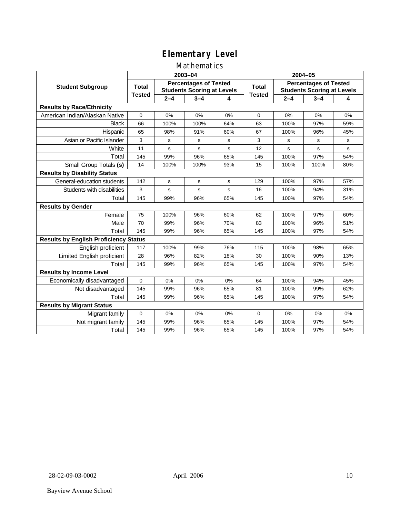## Mathematics

|                                              |                                                                                   |         | 2003-04     |       | 2004-05       |                                                                   |         |           |  |
|----------------------------------------------|-----------------------------------------------------------------------------------|---------|-------------|-------|---------------|-------------------------------------------------------------------|---------|-----------|--|
| <b>Student Subgroup</b>                      | <b>Percentages of Tested</b><br><b>Total</b><br><b>Students Scoring at Levels</b> |         |             | Total |               | <b>Percentages of Tested</b><br><b>Students Scoring at Levels</b> |         |           |  |
|                                              | <b>Tested</b>                                                                     | $2 - 4$ | $3 - 4$     | 4     | <b>Tested</b> | $2 - 4$                                                           | $3 - 4$ | 4         |  |
| <b>Results by Race/Ethnicity</b>             |                                                                                   |         |             |       |               |                                                                   |         |           |  |
| American Indian/Alaskan Native               | $\mathbf{0}$                                                                      | 0%      | 0%          | 0%    | $\Omega$      | 0%                                                                | 0%      | 0%        |  |
| <b>Black</b>                                 | 66                                                                                | 100%    | 100%        | 64%   | 63            | 100%                                                              | 97%     | 59%       |  |
| Hispanic                                     | 65                                                                                | 98%     | 91%         | 60%   | 67            | 100%                                                              | 96%     | 45%       |  |
| Asian or Pacific Islander                    | 3                                                                                 | s       | s           | s     | 3             | s                                                                 | s       | ${\tt s}$ |  |
| White                                        | 11                                                                                | s       | $\mathbf s$ | s     | 12            | $\mathbf s$                                                       | s       | s         |  |
| Total                                        | 145                                                                               | 99%     | 96%         | 65%   | 145           | 100%                                                              | 97%     | 54%       |  |
| Small Group Totals (s)                       | 14                                                                                | 100%    | 100%        | 93%   | 15            | 100%                                                              | 100%    | 80%       |  |
| <b>Results by Disability Status</b>          |                                                                                   |         |             |       |               |                                                                   |         |           |  |
| General-education students                   | 142                                                                               | s       | s           | s     | 129           | 100%                                                              | 97%     | 57%       |  |
| Students with disabilities                   | 3                                                                                 | s       | $\mathbf s$ | s     | 16            | 100%                                                              | 94%     | 31%       |  |
| Total                                        | 145                                                                               | 99%     | 96%         | 65%   | 145           | 100%                                                              | 97%     | 54%       |  |
| <b>Results by Gender</b>                     |                                                                                   |         |             |       |               |                                                                   |         |           |  |
| Female                                       | 75                                                                                | 100%    | 96%         | 60%   | 62            | 100%                                                              | 97%     | 60%       |  |
| Male                                         | 70                                                                                | 99%     | 96%         | 70%   | 83            | 100%                                                              | 96%     | 51%       |  |
| Total                                        | 145                                                                               | 99%     | 96%         | 65%   | 145           | 100%                                                              | 97%     | 54%       |  |
| <b>Results by English Proficiency Status</b> |                                                                                   |         |             |       |               |                                                                   |         |           |  |
| English proficient                           | 117                                                                               | 100%    | 99%         | 76%   | 115           | 100%                                                              | 98%     | 65%       |  |
| Limited English proficient                   | 28                                                                                | 96%     | 82%         | 18%   | 30            | 100%                                                              | 90%     | 13%       |  |
| Total                                        | 145                                                                               | 99%     | 96%         | 65%   | 145           | 100%                                                              | 97%     | 54%       |  |
| <b>Results by Income Level</b>               |                                                                                   |         |             |       |               |                                                                   |         |           |  |
| Economically disadvantaged                   | 0                                                                                 | 0%      | 0%          | 0%    | 64            | 100%                                                              | 94%     | 45%       |  |
| Not disadvantaged                            | 145                                                                               | 99%     | 96%         | 65%   | 81            | 100%                                                              | 99%     | 62%       |  |
| Total                                        | 145                                                                               | 99%     | 96%         | 65%   | 145           | 100%                                                              | 97%     | 54%       |  |
| <b>Results by Migrant Status</b>             |                                                                                   |         |             |       |               |                                                                   |         |           |  |
| Migrant family                               | 0                                                                                 | 0%      | 0%          | 0%    | $\Omega$      | 0%                                                                | 0%      | 0%        |  |
| Not migrant family                           | 145                                                                               | 99%     | 96%         | 65%   | 145           | 100%                                                              | 97%     | 54%       |  |
| Total                                        | 145                                                                               | 99%     | 96%         | 65%   | 145           | 100%                                                              | 97%     | 54%       |  |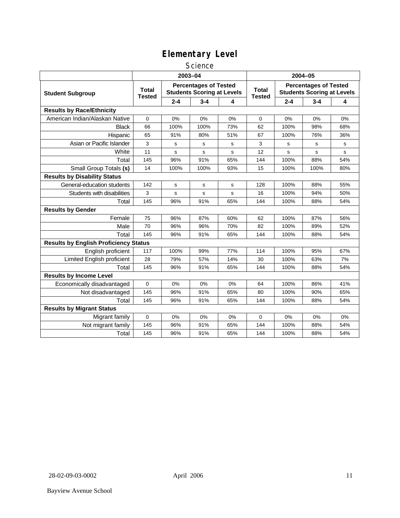### **Science**

|                                              | 2003-04                                                                                            |         |         |                               |                                                                   | 2004-05 |         |     |  |
|----------------------------------------------|----------------------------------------------------------------------------------------------------|---------|---------|-------------------------------|-------------------------------------------------------------------|---------|---------|-----|--|
| <b>Student Subgroup</b>                      | <b>Percentages of Tested</b><br><b>Total</b><br><b>Students Scoring at Levels</b><br><b>Tested</b> |         |         | <b>Total</b><br><b>Tested</b> | <b>Percentages of Tested</b><br><b>Students Scoring at Levels</b> |         |         |     |  |
|                                              |                                                                                                    | $2 - 4$ | $3 - 4$ | 4                             |                                                                   | $2 - 4$ | $3 - 4$ | 4   |  |
| <b>Results by Race/Ethnicity</b>             |                                                                                                    |         |         |                               |                                                                   |         |         |     |  |
| American Indian/Alaskan Native               | 0                                                                                                  | 0%      | 0%      | 0%                            | 0                                                                 | 0%      | 0%      | 0%  |  |
| <b>Black</b>                                 | 66                                                                                                 | 100%    | 100%    | 73%                           | 62                                                                | 100%    | 98%     | 68% |  |
| Hispanic                                     | 65                                                                                                 | 91%     | 80%     | 51%                           | 67                                                                | 100%    | 76%     | 36% |  |
| Asian or Pacific Islander                    | 3                                                                                                  | s       | s       | s                             | 3                                                                 | s       | s       | s   |  |
| White                                        | 11                                                                                                 | s       | s       | s                             | 12                                                                | s       | s       | s   |  |
| Total                                        | 145                                                                                                | 96%     | 91%     | 65%                           | 144                                                               | 100%    | 88%     | 54% |  |
| Small Group Totals (s)                       | 14                                                                                                 | 100%    | 100%    | 93%                           | 15                                                                | 100%    | 100%    | 80% |  |
| <b>Results by Disability Status</b>          |                                                                                                    |         |         |                               |                                                                   |         |         |     |  |
| General-education students                   | 142                                                                                                | s       | s       | s                             | 128                                                               | 100%    | 88%     | 55% |  |
| Students with disabilities                   | 3                                                                                                  | s       | s       | s                             | 16                                                                | 100%    | 94%     | 50% |  |
| Total                                        | 145                                                                                                | 96%     | 91%     | 65%                           | 144                                                               | 100%    | 88%     | 54% |  |
| <b>Results by Gender</b>                     |                                                                                                    |         |         |                               |                                                                   |         |         |     |  |
| Female                                       | 75                                                                                                 | 96%     | 87%     | 60%                           | 62                                                                | 100%    | 87%     | 56% |  |
| Male                                         | 70                                                                                                 | 96%     | 96%     | 70%                           | 82                                                                | 100%    | 89%     | 52% |  |
| Total                                        | 145                                                                                                | 96%     | 91%     | 65%                           | 144                                                               | 100%    | 88%     | 54% |  |
| <b>Results by English Proficiency Status</b> |                                                                                                    |         |         |                               |                                                                   |         |         |     |  |
| English proficient                           | 117                                                                                                | 100%    | 99%     | 77%                           | 114                                                               | 100%    | 95%     | 67% |  |
| <b>Limited English proficient</b>            | 28                                                                                                 | 79%     | 57%     | 14%                           | 30                                                                | 100%    | 63%     | 7%  |  |
| Total                                        | 145                                                                                                | 96%     | 91%     | 65%                           | 144                                                               | 100%    | 88%     | 54% |  |
| <b>Results by Income Level</b>               |                                                                                                    |         |         |                               |                                                                   |         |         |     |  |
| Economically disadvantaged                   | 0                                                                                                  | 0%      | 0%      | 0%                            | 64                                                                | 100%    | 86%     | 41% |  |
| Not disadvantaged                            | 145                                                                                                | 96%     | 91%     | 65%                           | 80                                                                | 100%    | 90%     | 65% |  |
| Total                                        | 145                                                                                                | 96%     | 91%     | 65%                           | 144                                                               | 100%    | 88%     | 54% |  |
| <b>Results by Migrant Status</b>             |                                                                                                    |         |         |                               |                                                                   |         |         |     |  |
| Migrant family                               | 0                                                                                                  | 0%      | 0%      | 0%                            | 0                                                                 | 0%      | 0%      | 0%  |  |
| Not migrant family                           | 145                                                                                                | 96%     | 91%     | 65%                           | 144                                                               | 100%    | 88%     | 54% |  |
| Total                                        | 145                                                                                                | 96%     | 91%     | 65%                           | 144                                                               | 100%    | 88%     | 54% |  |